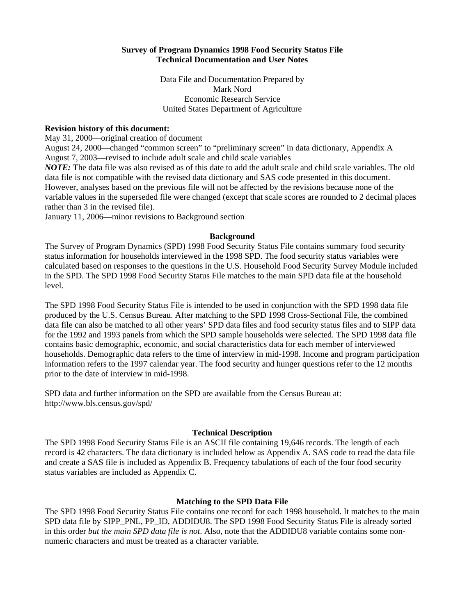## **Survey of Program Dynamics 1998 Food Security Status File Technical Documentation and User Notes**

Data File and Documentation Prepared by Mark Nord Economic Research Service United States Department of Agriculture

### **Revision history of this document:**

May 31, 2000—original creation of document

August 24, 2000—changed "common screen" to "preliminary screen" in data dictionary, Appendix A August 7, 2003—revised to include adult scale and child scale variables

*NOTE:* The data file was also revised as of this date to add the adult scale and child scale variables. The old data file is not compatible with the revised data dictionary and SAS code presented in this document. However, analyses based on the previous file will not be affected by the revisions because none of the variable values in the superseded file were changed (except that scale scores are rounded to 2 decimal places rather than 3 in the revised file).

January 11, 2006—minor revisions to Background section

### **Background**

The Survey of Program Dynamics (SPD) 1998 Food Security Status File contains summary food security status information for households interviewed in the 1998 SPD. The food security status variables were calculated based on responses to the questions in the U.S. Household Food Security Survey Module included in the SPD. The SPD 1998 Food Security Status File matches to the main SPD data file at the household level.

The SPD 1998 Food Security Status File is intended to be used in conjunction with the SPD 1998 data file produced by the U.S. Census Bureau. After matching to the SPD 1998 Cross-Sectional File, the combined data file can also be matched to all other years' SPD data files and food security status files and to SIPP data for the 1992 and 1993 panels from which the SPD sample households were selected. The SPD 1998 data file contains basic demographic, economic, and social characteristics data for each member of interviewed households. Demographic data refers to the time of interview in mid-1998. Income and program participation information refers to the 1997 calendar year. The food security and hunger questions refer to the 12 months prior to the date of interview in mid-1998.

SPD data and further information on the SPD are available from the Census Bureau at: http://www.bls.census.gov/spd/

#### **Technical Description**

The SPD 1998 Food Security Status File is an ASCII file containing 19,646 records. The length of each record is 42 characters. The data dictionary is included below as Appendix A. SAS code to read the data file and create a SAS file is included as Appendix B. Frequency tabulations of each of the four food security status variables are included as Appendix C.

## **Matching to the SPD Data File**

The SPD 1998 Food Security Status File contains one record for each 1998 household. It matches to the main SPD data file by SIPP\_PNL, PP\_ID, ADDIDU8. The SPD 1998 Food Security Status File is already sorted in this order *but the main SPD data file is not*. Also, note that the ADDIDU8 variable contains some nonnumeric characters and must be treated as a character variable.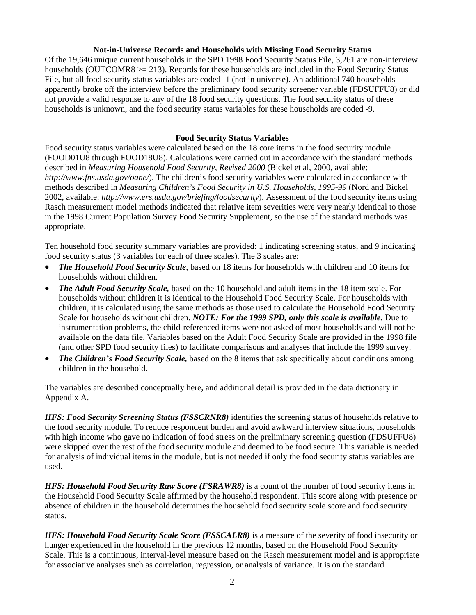## **Not-in-Universe Records and Households with Missing Food Security Status**

Of the 19,646 unique current households in the SPD 1998 Food Security Status File, 3,261 are non-interview households (OUTCOMR8  $\geq$  213). Records for these households are included in the Food Security Status File, but all food security status variables are coded -1 (not in universe). An additional 740 households apparently broke off the interview before the preliminary food security screener variable (FDSUFFU8) or did not provide a valid response to any of the 18 food security questions. The food security status of these households is unknown, and the food security status variables for these households are coded -9.

### **Food Security Status Variables**

Food security status variables were calculated based on the 18 core items in the food security module (FOOD01U8 through FOOD18U8). Calculations were carried out in accordance with the standard methods described in *Measuring Household Food Security, Revised 2000* (Bickel et al, 2000, available: *http://www.fns.usda.gov/oane/*). The children's food security variables were calculated in accordance with methods described in *Measuring Children's Food Security in U.S. Households, 1995-99* (Nord and Bickel 2002, available: *http://www.ers.usda.gov/briefing/foodsecurity*). Assessment of the food security items using Rasch measurement model methods indicated that relative item severities were very nearly identical to those in the 1998 Current Population Survey Food Security Supplement, so the use of the standard methods was appropriate.

Ten household food security summary variables are provided: 1 indicating screening status, and 9 indicating food security status (3 variables for each of three scales). The 3 scales are:

- *The Household Food Security Scale*, based on 18 items for households with children and 10 items for households without children.
- *The Adult Food Security Scale*, based on the 10 household and adult items in the 18 item scale. For households without children it is identical to the Household Food Security Scale. For households with children, it is calculated using the same methods as those used to calculate the Household Food Security Scale for households without children. *NOTE: For the 1999 SPD, only this scale is available.* Due to instrumentation problems, the child-referenced items were not asked of most households and will not be available on the data file. Variables based on the Adult Food Security Scale are provided in the 1998 file (and other SPD food security files) to facilitate comparisons and analyses that include the 1999 survey.
- *The Children's Food Security Scale,* based on the 8 items that ask specifically about conditions among children in the household.

The variables are described conceptually here, and additional detail is provided in the data dictionary in Appendix A.

*HFS: Food Security Screening Status (FSSCRNR8)* identifies the screening status of households relative to the food security module. To reduce respondent burden and avoid awkward interview situations, households with high income who gave no indication of food stress on the preliminary screening question (FDSUFFU8) were skipped over the rest of the food security module and deemed to be food secure. This variable is needed for analysis of individual items in the module, but is not needed if only the food security status variables are used.

*HFS: Household Food Security Raw Score (FSRAWR8)* is a count of the number of food security items in the Household Food Security Scale affirmed by the household respondent. This score along with presence or absence of children in the household determines the household food security scale score and food security status.

*HFS: Household Food Security Scale Score (FSSCALR8)* is a measure of the severity of food insecurity or hunger experienced in the household in the previous 12 months, based on the Household Food Security Scale. This is a continuous, interval-level measure based on the Rasch measurement model and is appropriate for associative analyses such as correlation, regression, or analysis of variance. It is on the standard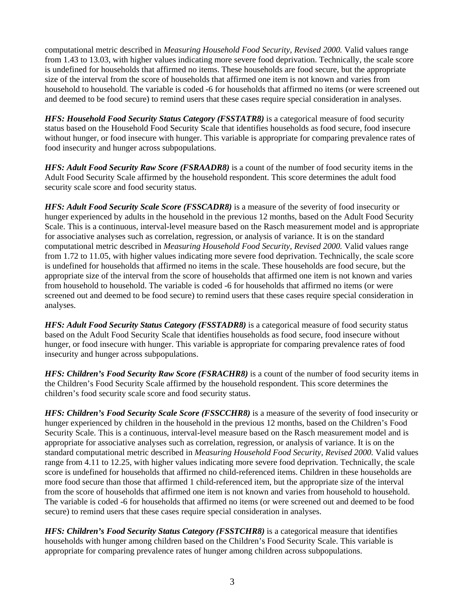computational metric described in *Measuring Household Food Security, Revised 2000.* Valid values range from 1.43 to 13.03, with higher values indicating more severe food deprivation. Technically, the scale score is undefined for households that affirmed no items. These households are food secure, but the appropriate size of the interval from the score of households that affirmed one item is not known and varies from household to household. The variable is coded -6 for households that affirmed no items (or were screened out and deemed to be food secure) to remind users that these cases require special consideration in analyses.

*HFS: Household Food Security Status Category (FSSTATR8)* is a categorical measure of food security status based on the Household Food Security Scale that identifies households as food secure, food insecure without hunger, or food insecure with hunger. This variable is appropriate for comparing prevalence rates of food insecurity and hunger across subpopulations.

*HFS: Adult Food Security Raw Score (FSRAADR8)* is a count of the number of food security items in the Adult Food Security Scale affirmed by the household respondent. This score determines the adult food security scale score and food security status.

*HFS: Adult Food Security Scale Score (FSSCADR8)* is a measure of the severity of food insecurity or hunger experienced by adults in the household in the previous 12 months, based on the Adult Food Security Scale. This is a continuous, interval-level measure based on the Rasch measurement model and is appropriate for associative analyses such as correlation, regression, or analysis of variance. It is on the standard computational metric described in *Measuring Household Food Security, Revised 2000.* Valid values range from 1.72 to 11.05, with higher values indicating more severe food deprivation. Technically, the scale score is undefined for households that affirmed no items in the scale. These households are food secure, but the appropriate size of the interval from the score of households that affirmed one item is not known and varies from household to household. The variable is coded -6 for households that affirmed no items (or were screened out and deemed to be food secure) to remind users that these cases require special consideration in analyses.

*HFS: Adult Food Security Status Category (FSSTADR8)* is a categorical measure of food security status based on the Adult Food Security Scale that identifies households as food secure, food insecure without hunger, or food insecure with hunger. This variable is appropriate for comparing prevalence rates of food insecurity and hunger across subpopulations.

*HFS: Children's Food Security Raw Score (FSRACHR8)* is a count of the number of food security items in the Children's Food Security Scale affirmed by the household respondent. This score determines the children's food security scale score and food security status.

*HFS: Children's Food Security Scale Score (FSSCCHR8)* is a measure of the severity of food insecurity or hunger experienced by children in the household in the previous 12 months, based on the Children's Food Security Scale. This is a continuous, interval-level measure based on the Rasch measurement model and is appropriate for associative analyses such as correlation, regression, or analysis of variance. It is on the standard computational metric described in *Measuring Household Food Security, Revised 2000.* Valid values range from 4.11 to 12.25, with higher values indicating more severe food deprivation. Technically, the scale score is undefined for households that affirmed no child-referenced items. Children in these households are more food secure than those that affirmed 1 child-referenced item, but the appropriate size of the interval from the score of households that affirmed one item is not known and varies from household to household. The variable is coded -6 for households that affirmed no items (or were screened out and deemed to be food secure) to remind users that these cases require special consideration in analyses.

*HFS: Children's Food Security Status Category (FSSTCHR8)* is a categorical measure that identifies households with hunger among children based on the Children's Food Security Scale. This variable is appropriate for comparing prevalence rates of hunger among children across subpopulations.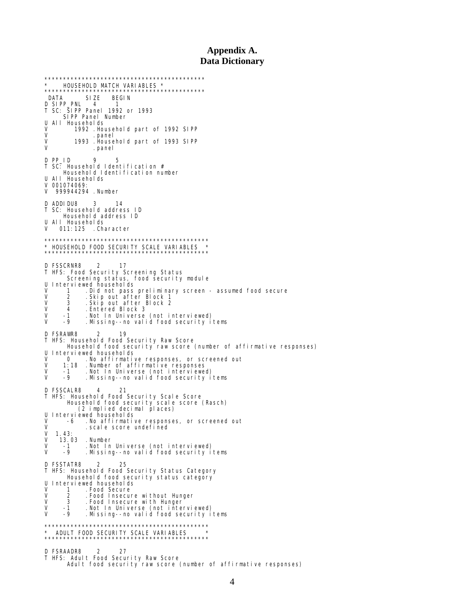# **Appendix A. Data Dictionary**

```
******************************************* 
* HOUSEHOLD MATCH VARIABLES * 
******************************************* 
 DATA SIZE BEGIN 
D SIPP_PNL 4 1 
T SC: SIPP Panel 1992 or 1993 
 SIPP Panel Number 
U All Households<br>V 1992 House
V 1992 .Household part of 1992 SIPP 
V .panel 
V 1993 .Household part of 1993 SIPP 
V .panel
D PP_ID 9 5 
T SC: Household Identification # 
 Household Identification number 
U All Households
V 001074069: 
V 999944294 .Number 
D ADDIDU8 3 14 
T SC: Household address ID 
       Household address ID 
U All Households 
V 011:125 .Character 
******************************************** 
* HOUSEHOLD FOOD SECURITY SCALE VARIABLES * 
******************************************** 
D FSSCRNR8 2 17
T HFS: Food Security Screening Status 
 Screening status, food security module 
U Interviewed households 
V 1 .Did not pass preliminary screen - assumed food secure 
V 2 .Skip out after Block 1 
V 3 .Skip out after Block 2 
V 4 .Entered Block 3 
V -1 .Not In Universe (not interviewed) 
V -9 .Missing--no valid food security items 
D FSRAWR8 2 19 
T HFS: Household Food Security Raw Score 
 Household food security raw score (number of affirmative responses) 
U Interviewed households<br>V 0 No affirmativ
V 0 .No affirmative responses, or screened out 
V 1:18 .Number of affirmative responses 
V -1 .Not In Universe (not interviewed) 
V -9 .Missing--no valid food security items 
D FSSCALR8 4 21 
T HFS: Household Food Security Scale Score 
 Household food security scale score (Rasch) 
 (2 implied decimal places) 
U Interviewed households 
V -6 . No affirmative responses, or screened out<br>V scale score undefined
V . scale score undefined<br>V 1.43:
V = 1.43:<br>V = 13.0V 13.03 .Number 
V -1 .Not In Universe (not interviewed) 
V -9 .Missing--no valid food security items 
D FSSTATR8 2 25 
T HFS: Household Food Security Status Category 
Household food security status category<br>U Interviewed households
U Interviewed households<br>V 1 .Food Secure
V 1 .Food Secure<br>V 2 .Food Insecur
V 2 . Food Insecure without Hunger<br>V 3 . Food Insecure with Hunger
V      3    .Food Insecure with Hunger<br>V    -1    .Not In Universe (not interviewed)<br>V    -9    .Missing--no valid food security items
******************************************** 
* ADULT FOOD SECURITY SCALE VARIABLES * 
******************************************** 
D FSRAADR8 2 27 
T HFS: Adult Food Security Raw Score 
 Adult food security raw score (number of affirmative responses)
```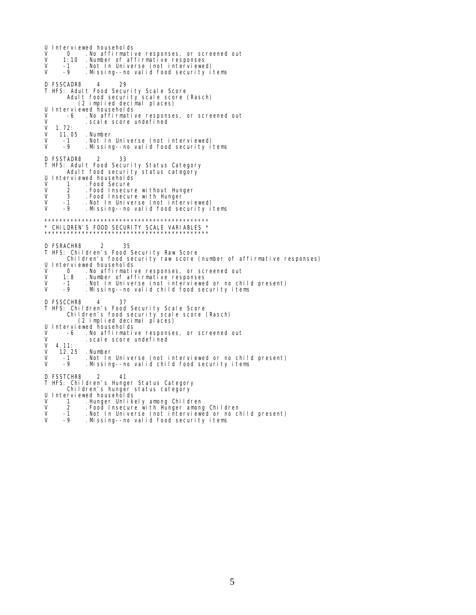U Interviewed households<br>V 0 .No affirmativ V 0 . No affirmative responses, or screened out V 1:10 . Number of affirmative responses V 1:10 .Number of affirmative responses V -1 .Not In Universe (not interviewed) V -9 .Missing--no valid food security items D FSSCADR8 4 29 T HFS: Adult Food Security Scale Score Adult food security scale score (Rasch) (2 implied decimal places) U Interviewed households<br>V -6 No affirmative V -6 .No affirmative responses, or screened out  $V = 172$ . scale score undefined V 1.72:<br>V 11.05 V 11.05 .Number V -1 .Not In Universe (not interviewed) V -1 .Not In Universe (not interviewed)<br>V -9 .Missing--no valid food security items D FSSTADR8 2 33 T HFS: Adult Food Security Status Category Adult food security status category U Interviewed households<br>V 1 .Food Secure V 1 . Food Secure<br>V 2 . Food Insecur V 2 . Food Insecure without Hunger<br>V 3 . Food Insecure with Hunger V 3 . Food Insecure with Hunger<br>V -1 . Not In Universe (not inter V -1 .Not In Universe (not interviewed) . Missing--no valid food security items \*\*\*\*\*\*\*\*\*\*\*\*\*\*\*\*\*\*\*\*\*\*\*\*\*\*\*\*\*\*\*\*\*\*\*\*\*\*\*\*\*\*\*\* \* CHILDREN'S FOOD SECURITY SCALE VARIABLES \* \*\*\*\*\*\*\*\*\*\*\*\*\*\*\*\*\*\*\*\*\*\*\*\*\*\*\*\*\*\*\*\*\*\*\*\*\*\*\*\*\*\*\*\* D FSRACHR8 2 35 T HFS: Children's Food Security Raw Score Children's food security raw score (number of affirmative responses) U Interviewed households<br>V 0 .No affirmativ V 0 .No affirmative responses, or screened out V 1:8 .Number of affirmative responses V -1 .Not In Universe (not interviewed or no child present) V -9 .Missing--no valid child food security items D FSSCCHR8 4 37 T HFS: Children's Food Security Scale Score Children's food security scale score (Rasch) (2 implied decimal places) U Interviewed households V -6 . No affirmative responses, or screened out<br>V . scale score undefined  $V = 11$ . scale score undefined  $V = 4.11:$ <br> $V = 12.25$ V 12.25 .Number<br>V -1 .Notln<br>V -9 .Missing V -1 .Not In Universe (not interviewed or no child present) V -9 .Missing--no valid child food security items D FSSTCHR8 2 41 T HFS: Children's Hunger Status Category Children's hunger status category<br>U Interviewed households U Interviewed households<br>V 1 Hunger Unlike V 1 .Hunger Unlikely among Children<br>V 2 .Food Insecure with Hunger among V 2 . Food Insecure with Hunger among Children<br>V -1 . Not In Universe (not interviewed or no cl<br>V -9 . Missing--no valid food security items V -1 .Not In Universe (not interviewed or no child present) V -9 .Missing--no valid food security items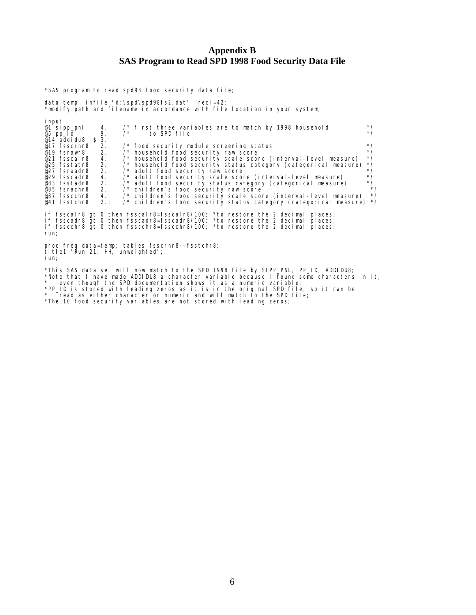# **Appendix B SAS Program to Read SPD 1998 Food Security Data File**

\*SAS program to read spd98 food security data file;

 $i$  pput

data temp; infile 'd:\spd\spd98fs2.dat' lrecl=42; \*modify path and filename in accordance with file location in your system;

| <b>III</b> put                           |          |                                                                                                                                    |  |
|------------------------------------------|----------|------------------------------------------------------------------------------------------------------------------------------------|--|
| @1 sipp_pnl                              | 4.<br>9. | $^{\star}$ /<br>$\frac{1}{2}$ first three variables are to match by 1998 household<br>$*$ /                                        |  |
| @5 pp id<br>$@14$ addidu8 \$ 3.          |          | to SPD file<br>$\prime^*$                                                                                                          |  |
| @17 fsscrnr8                             | 2.       | $^{\star}$ /<br>/* food security module screening status<br>$^{\star}$ /                                                           |  |
| @19 fsrawr8<br>@21 fsscal r8             | 2.<br>4. | /* household food security raw score<br>$^*/$<br>/* household food security scale score (interval-level measure)                   |  |
| @25 fsstatr8                             | 2.       | $^*/$<br>/* household food security status category (categorical measure)                                                          |  |
| @27 fsraadr8<br>@29 fsscadr8             | 2.<br>4. | $^*/$<br>$\prime^*$ adult food security raw score<br>$^*/$<br>/* adult food security scale score (interval-level measure)          |  |
| @33 fsstadr8                             | 2.       | $^*/$<br>/* adult food security status category (categorical measure)                                                              |  |
| @35 fsrachr8<br>@37 fsscchr8             | 2.<br>4. | $*$ /<br>/* children's food security raw score<br>$^{\star}$ /<br>/* children's food security scale score (interval-level measure) |  |
| @41 fsstchr8                             | 2. :     | /* children's food security status category (categorical measure) */                                                               |  |
|                                          |          | if fsscalr8 gt 0 then fsscalr8=fsscalr8/100; *to restore the 2 decimal places;                                                     |  |
|                                          |          | if fsscadr8 gt 0 then fsscadr8=fsscadr8/100; *to restore the 2 decimal places;                                                     |  |
| run;                                     |          | if fsscchr8 gt 0 then fsscchr8=fsscchr8/100; *to restore the 2 decimal places;                                                     |  |
| title1 'Run 21: HH, unweighted';<br>run; |          | proc freq data=temp; tables fsscrnr8--fsstchr8;                                                                                    |  |
|                                          |          |                                                                                                                                    |  |

\*This SAS data set will now match to the SPD 1998 file by SIPP\_PNL, PP\_ID, ADDIDU8;<br>\*Note that I have made ADDIDU8 a character variable because I found some characters in it;<br>\* even though the SPD documentation shows it \*PP\_ID is stored with leading zeros as it is in the original SPD file, so it can be \* read as either character or numeric and will match to the SPD file; \*The 10 food security variables are not stored with leading zeros;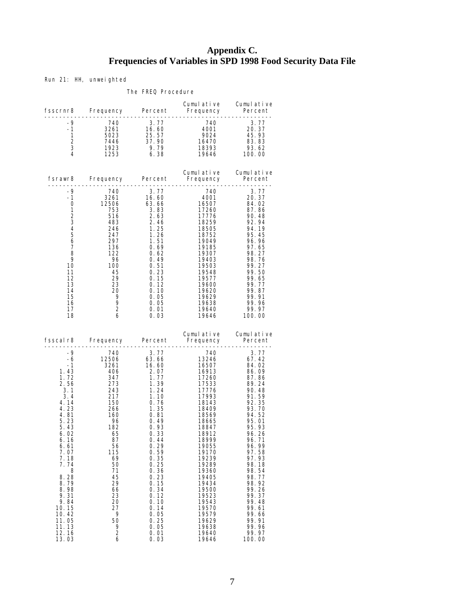# **Appendix C. Frequencies of Variables in SPD 1998 Food Security Data File**

Run 21: HH, unweighted

#### The FREQ Procedure

|                                                                                                                                                                                                                                |                                                                                                                                                                                                                                                                                                                                                                                                    |                                                                                                                               | Cumulative Cumulative                                                                                                                                                                                                                                                                                                                                                                      |                                                                                                                                                                                                                                             |
|--------------------------------------------------------------------------------------------------------------------------------------------------------------------------------------------------------------------------------|----------------------------------------------------------------------------------------------------------------------------------------------------------------------------------------------------------------------------------------------------------------------------------------------------------------------------------------------------------------------------------------------------|-------------------------------------------------------------------------------------------------------------------------------|--------------------------------------------------------------------------------------------------------------------------------------------------------------------------------------------------------------------------------------------------------------------------------------------------------------------------------------------------------------------------------------------|---------------------------------------------------------------------------------------------------------------------------------------------------------------------------------------------------------------------------------------------|
| $-9$<br>$\frac{-1}{1}$                                                                                                                                                                                                         |                                                                                                                                                                                                                                                                                                                                                                                                    |                                                                                                                               | $\begin{array}{cccccccc} .9 & 740 & 3.77 & 740 & -1.7 & 7.7 \\ -9 & 740 & 3.77 & 740 & 20.37 \\ 1 & 3261 & 16.60 & 4001 & 20.37 \\ 1 & 5023 & 25.57 & 9024 & 45.93 \\ 2 & 7446 & 37.90 & 16470 & 83.83 \\ 3 & 1923 & 9.79 & 18393 & 93.62 \\ 4 & 1253 & 6.38 & 19646 & 100.00 \\ \end{array}$                                                                                              |                                                                                                                                                                                                                                             |
|                                                                                                                                                                                                                                |                                                                                                                                                                                                                                                                                                                                                                                                    |                                                                                                                               |                                                                                                                                                                                                                                                                                                                                                                                            |                                                                                                                                                                                                                                             |
| -9<br>$-1$<br>$\mathbf{O}$<br>$\mathbf{1}$<br>2<br>3<br>4<br>5<br>6<br>7<br>8<br>9<br>10<br>11<br>12<br>13<br>14<br>15<br>16<br>17<br>18                                                                                       | $719404$<br>$740$<br>$3.77$<br>$3261$<br>$16.60$<br>$12506$<br>$63.66$<br>$753$<br>$53.83$<br>$516$<br>$2.46$<br>$2.46$<br>$2.46$<br>$1.25$<br>$247$<br>$1.26$<br>$297$<br>$1.26$<br>$10.69$<br>$122$<br>$0.62$<br>$96$<br>$0.49$<br>$100$<br>$0.51$<br>$45$<br>$20$<br>$0.15$<br>$2$<br>6                                                                                                         | 0.03                                                                                                                          | 197049<br>19185<br>19307<br>19403<br>19503<br>19548<br>19503<br>19548 99.50<br>19577 99.65<br>19620 99.87<br>19629 99.87<br>19638 99.96<br>19640 99.97<br>19646 100.00                                                                                                                                                                                                                     | 94.19<br>95.45<br>96.96<br>97.65<br>98.27<br>98.76<br>99.27                                                                                                                                                                                 |
|                                                                                                                                                                                                                                |                                                                                                                                                                                                                                                                                                                                                                                                    |                                                                                                                               | Cumulative Cumulative                                                                                                                                                                                                                                                                                                                                                                      |                                                                                                                                                                                                                                             |
| 1.43<br>1.72<br>2.56<br>3.1<br>3.4<br>4.14<br>4.23<br>4.81<br>5.23<br>5.43<br>6.02<br>6.16<br>6.61<br>7. 07<br>7.18<br>7.74<br>8<br>8.28<br>8.79<br>8.98<br>9.31<br>9.84<br>10.15<br>10.42<br>11.05<br>11.13<br>12.16<br>13.03 | $\begin{array}{cccc} -2 & 740 & 3.77 \\ -9 & 740 & 3.77 \\ -6 & 12506 & 63.66 \\ 43 & 406 & 2.07 \\ 72 & 347 & 1.77 \\ 56 & 273 & 1.39 \\ 3.1 & 243 & 1.24 \\ 3.4 & 217 & 1.10 \\ 14 & 150 & 0.76 \\ 23 & 266 & 1.35 \\ 81 & 160 & 0.81 \\ 23 & 96 & 0.49 \\ 43 & 182 & 0.93 \\ 24 & 65 & 0.33 \\ 16$<br>56<br>115<br>69<br>50<br>71<br>45<br>29<br>66<br>23<br>20<br>27<br>9<br>50<br>9<br>2<br>6 | 0.29<br>0.59<br>0.35<br>0.25<br>0.36<br>0.23<br>0.15<br>0.34<br>0.12<br>0.10<br>0.14<br>0.05<br>0.25<br>0.05<br>0. 01<br>0.03 | $\begin{array}{cccc} 740 & 3.77 \ 13246 & 67.42 \ 16507 & 84.02 \ 16913 & 86.09 \ 17260 & 87.86 \ 17533 & 89.24 \ \end{array}$<br>17776<br>17993<br>18143<br>18409<br>1840,<br>18569<br>18665<br>19847<br>18847<br>18847<br>18912<br>18999<br>19055<br>19170<br>19239<br>19289<br>19360<br>19405<br>19434<br>19500<br>19523<br>19543<br>19570<br>19579<br>19629<br>19638<br>19640<br>19646 | $90.\, 48$<br>91.59<br>92.35<br>93. 70<br>94. 52<br>95.01<br>95.93<br>96.26<br>96.71<br>96.99<br>97.58<br>97.93<br>98.18<br>98. 54<br>98. 77<br>98.92<br>99. 26<br>99.37<br>99.48<br>99.61<br>99. 66<br>99.91<br>99. 96<br>99. 97<br>100.00 |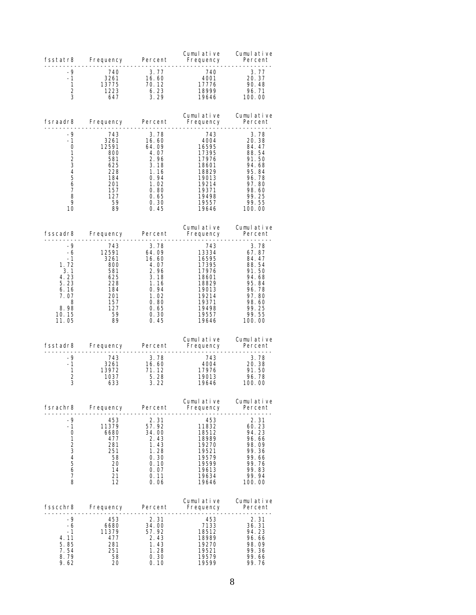| fsstatr8                                                                                                           | Frequency Percent                                                                            |                                                                                                        | Cumulative<br>Frequency<br>. <i>.</i>                                                                            | Cumulative<br>Percent                                                                                                  |
|--------------------------------------------------------------------------------------------------------------------|----------------------------------------------------------------------------------------------|--------------------------------------------------------------------------------------------------------|------------------------------------------------------------------------------------------------------------------|------------------------------------------------------------------------------------------------------------------------|
| -9<br>-1<br>1<br>$\mathbf 2$<br>3                                                                                  | 740<br>3261<br>13775<br>1223<br>647                                                          | 3.77<br>16.60<br>70.12<br>6.23<br>3.29                                                                 | 740<br>4001<br>17776<br>18999<br>19646                                                                           | 3.77<br>20.37<br>90.48<br>96.71<br>100.00                                                                              |
| fsraadr8                                                                                                           | Frequency                                                                                    | Percent<br>.                                                                                           | Cumulative<br>Frequency                                                                                          | Cumulative<br>Percent                                                                                                  |
| -9<br>-1<br>0<br>1<br>$\overline{\mathbf{c}}$<br>3<br>$\overline{4}$<br>5<br>$\boldsymbol{6}$<br>7<br>8<br>9<br>10 | 743<br>3261<br>12591<br>- 800<br>581<br>625<br>228<br>184<br>201<br>157<br>127<br>- 59<br>89 | 3.78<br>16.60<br>64.09<br>4.07<br>2.96<br>3.18<br>1.16<br>0.94<br>1.02<br>0.80<br>0.65<br>0.30<br>0.45 | .<br>$\frac{743}{165}$<br>17395<br>17976<br>18601<br>18829<br>19013<br>19214<br>19371<br>19498<br>19557<br>19646 | .<br>3.78<br>20.38<br>84.47<br>88.54<br>91.50<br>94.68<br>95.84<br>96.78<br>97.80<br>98.60<br>99.25<br>99.55<br>100.00 |
| fsscadr8                                                                                                           | Frequency                                                                                    | Percent<br>. <u>.</u> .                                                                                | Cumulative<br>Frequency<br>. <u>.</u> .                                                                          | Cumulative<br>Percent<br>.                                                                                             |
| $-9$<br>-6<br>$-1$<br>1.72<br>3.1<br>4.23<br>5.23<br>6.16<br>7.07<br>8<br>8.98<br>10.15<br>11.05                   | 743<br>12591<br>3261<br>- 800<br>- 581<br>o25<br>228<br>19<br>201<br>157<br>$\frac{12}{59}$  | 3.78<br>64.09<br>16.60<br>4.07<br>2.96<br>3.18<br>1.16<br>0.94<br>1.02<br>0.80<br>0.65<br>0.30<br>0.45 | 743<br>13334<br>16595<br>17395<br>17976<br>18601<br>18829<br>19013<br>19214<br>19371<br>19498<br>19557<br>19646  | 3.78<br>$67.87$<br>$84.47$<br>88.54<br>91.50<br>94.68<br>95.84<br>96. 78<br>97.80<br>98.60<br>99.25<br>99.55<br>100.00 |
| fsstadr8                                                                                                           | Frequency                                                                                    | Percent                                                                                                | Cumulative<br>Frequency                                                                                          | Cumulative<br>Percent                                                                                                  |
| -9<br>-1<br>1<br>2<br>3                                                                                            | 743<br>3261<br>13972<br>1037<br>633                                                          | 3.78<br>16.60<br>71.12<br>5.28<br>3.22                                                                 | 743<br>4004<br>17976<br>19013<br>19646                                                                           | .<br>3.78<br>20.38<br>91.50<br>96.78<br>100.00                                                                         |
| fsrachr8                                                                                                           | Frequency                                                                                    | Percent                                                                                                | Cumulative<br>Frequency                                                                                          | Cumulative<br>Percent                                                                                                  |
| -9<br>-1<br>0<br>1<br>$\begin{array}{c} 2 \\ 3 \\ 4 \end{array}$<br>5<br>6<br>7<br>8                               | 453<br>11379<br>6680<br>477<br>281<br>251<br>58<br>20<br>14<br>21<br>12                      | 2.31<br>57.92<br>34.00<br>2.43<br>1.43<br>1.28<br>0.30<br>0.10<br>0.07<br>0.11<br>0.06                 | 453<br>11832<br>18512<br>18989<br>19270<br>19521<br>19579<br>19599<br>19613<br>19634<br>19646                    | 2.31<br>60.23<br>94.23<br>96.66<br>98.09<br>99.36<br>99.66<br>99.76<br>99.83<br>99.94<br>100.00                        |
| fsscchr8                                                                                                           | Frequency                                                                                    | Percent                                                                                                | Cumulative<br>Frequency                                                                                          | Cumulative<br>Percent<br>$-- -$                                                                                        |
| -9<br>-6<br>-1<br>4.11<br>5.85<br>7.54<br>8.79<br>9.62                                                             | 453<br>6680<br>11379<br>477<br>281<br>251<br>58<br>20                                        | 2.31<br>34.00<br>57.92<br>2.43<br>1.43<br>1.28<br>0.30<br>0.10                                         | 453<br>7133<br>18512<br>18989<br>19270<br>19521<br>19579<br>19599                                                | 2.31<br>36.31<br>94.23<br>96.66<br>98.09<br>99.36<br>99.66<br>99.76                                                    |